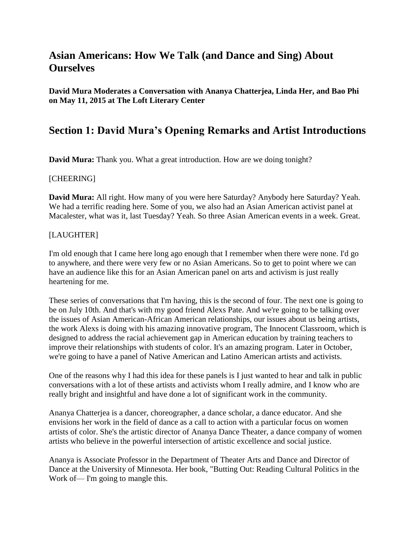# **Asian Americans: How We Talk (and Dance and Sing) About Ourselves**

**David Mura Moderates a Conversation with Ananya Chatterjea, Linda Her, and Bao Phi on May 11, 2015 at The Loft Literary Center**

# **Section 1: David Mura's Opening Remarks and Artist Introductions**

**David Mura:** Thank you. What a great introduction. How are we doing tonight?

#### [CHEERING]

**David Mura:** All right. How many of you were here Saturday? Anybody here Saturday? Yeah. We had a terrific reading here. Some of you, we also had an Asian American activist panel at Macalester, what was it, last Tuesday? Yeah. So three Asian American events in a week. Great.

#### [LAUGHTER]

I'm old enough that I came here long ago enough that I remember when there were none. I'd go to anywhere, and there were very few or no Asian Americans. So to get to point where we can have an audience like this for an Asian American panel on arts and activism is just really heartening for me.

These series of conversations that I'm having, this is the second of four. The next one is going to be on July 10th. And that's with my good friend Alexs Pate. And we're going to be talking over the issues of Asian American-African American relationships, our issues about us being artists, the work Alexs is doing with his amazing innovative program, The Innocent Classroom, which is designed to address the racial achievement gap in American education by training teachers to improve their relationships with students of color. It's an amazing program. Later in October, we're going to have a panel of Native American and Latino American artists and activists.

One of the reasons why I had this idea for these panels is I just wanted to hear and talk in public conversations with a lot of these artists and activists whom I really admire, and I know who are really bright and insightful and have done a lot of significant work in the community.

Ananya Chatterjea is a dancer, choreographer, a dance scholar, a dance educator. And she envisions her work in the field of dance as a call to action with a particular focus on women artists of color. She's the artistic director of Ananya Dance Theater, a dance company of women artists who believe in the powerful intersection of artistic excellence and social justice.

Ananya is Associate Professor in the Department of Theater Arts and Dance and Director of Dance at the University of Minnesota. Her book, "Butting Out: Reading Cultural Politics in the Work of— I'm going to mangle this.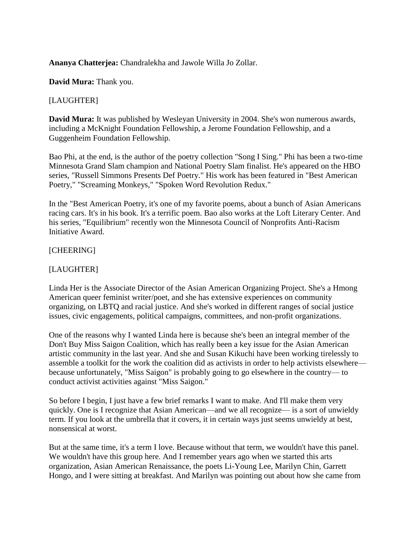#### **Ananya Chatterjea:** Chandralekha and Jawole Willa Jo Zollar.

**David Mura:** Thank you.

#### [LAUGHTER]

**David Mura:** It was published by Wesleyan University in 2004. She's won numerous awards, including a McKnight Foundation Fellowship, a Jerome Foundation Fellowship, and a Guggenheim Foundation Fellowship.

Bao Phi, at the end, is the author of the poetry collection "Song I Sing." Phi has been a two-time Minnesota Grand Slam champion and National Poetry Slam finalist. He's appeared on the HBO series, "Russell Simmons Presents Def Poetry." His work has been featured in "Best American Poetry," "Screaming Monkeys," "Spoken Word Revolution Redux."

In the "Best American Poetry, it's one of my favorite poems, about a bunch of Asian Americans racing cars. It's in his book. It's a terrific poem. Bao also works at the Loft Literary Center. And his series, "Equilibrium" recently won the Minnesota Council of Nonprofits Anti-Racism Initiative Award.

#### [CHEERING]

### [LAUGHTER]

Linda Her is the Associate Director of the Asian American Organizing Project. She's a Hmong American queer feminist writer/poet, and she has extensive experiences on community organizing, on LBTQ and racial justice. And she's worked in different ranges of social justice issues, civic engagements, political campaigns, committees, and non-profit organizations.

One of the reasons why I wanted Linda here is because she's been an integral member of the Don't Buy Miss Saigon Coalition, which has really been a key issue for the Asian American artistic community in the last year. And she and Susan Kikuchi have been working tirelessly to assemble a toolkit for the work the coalition did as activists in order to help activists elsewhere because unfortunately, "Miss Saigon" is probably going to go elsewhere in the country— to conduct activist activities against "Miss Saigon."

So before I begin, I just have a few brief remarks I want to make. And I'll make them very quickly. One is I recognize that Asian American—and we all recognize— is a sort of unwieldy term. If you look at the umbrella that it covers, it in certain ways just seems unwieldy at best, nonsensical at worst.

But at the same time, it's a term I love. Because without that term, we wouldn't have this panel. We wouldn't have this group here. And I remember years ago when we started this arts organization, Asian American Renaissance, the poets Li-Young Lee, Marilyn Chin, Garrett Hongo, and I were sitting at breakfast. And Marilyn was pointing out about how she came from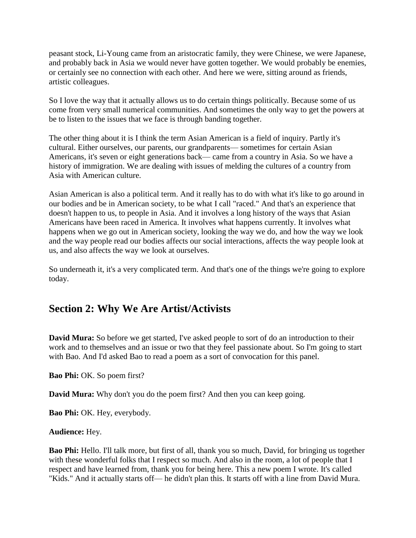peasant stock, Li-Young came from an aristocratic family, they were Chinese, we were Japanese, and probably back in Asia we would never have gotten together. We would probably be enemies, or certainly see no connection with each other. And here we were, sitting around as friends, artistic colleagues.

So I love the way that it actually allows us to do certain things politically. Because some of us come from very small numerical communities. And sometimes the only way to get the powers at be to listen to the issues that we face is through banding together.

The other thing about it is I think the term Asian American is a field of inquiry. Partly it's cultural. Either ourselves, our parents, our grandparents— sometimes for certain Asian Americans, it's seven or eight generations back— came from a country in Asia. So we have a history of immigration. We are dealing with issues of melding the cultures of a country from Asia with American culture.

Asian American is also a political term. And it really has to do with what it's like to go around in our bodies and be in American society, to be what I call "raced." And that's an experience that doesn't happen to us, to people in Asia. And it involves a long history of the ways that Asian Americans have been raced in America. It involves what happens currently. It involves what happens when we go out in American society, looking the way we do, and how the way we look and the way people read our bodies affects our social interactions, affects the way people look at us, and also affects the way we look at ourselves.

So underneath it, it's a very complicated term. And that's one of the things we're going to explore today.

# **Section 2: Why We Are Artist/Activists**

**David Mura:** So before we get started, I've asked people to sort of do an introduction to their work and to themselves and an issue or two that they feel passionate about. So I'm going to start with Bao. And I'd asked Bao to read a poem as a sort of convocation for this panel.

**Bao Phi:** OK. So poem first?

**David Mura:** Why don't you do the poem first? And then you can keep going.

**Bao Phi:** OK. Hey, everybody.

#### **Audience:** Hey.

**Bao Phi:** Hello. I'll talk more, but first of all, thank you so much, David, for bringing us together with these wonderful folks that I respect so much. And also in the room, a lot of people that I respect and have learned from, thank you for being here. This a new poem I wrote. It's called "Kids." And it actually starts off— he didn't plan this. It starts off with a line from David Mura.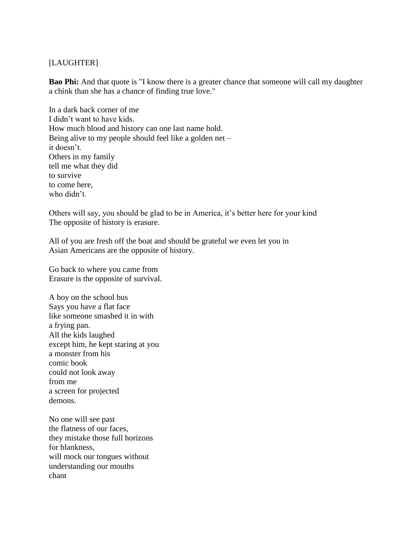### [LAUGHTER]

**Bao Phi:** And that quote is "I know there is a greater chance that someone will call my daughter a chink than she has a chance of finding true love."

In a dark back corner of me I didn't want to have kids. How much blood and history can one last name hold. Being alive to my people should feel like a golden net – it doesn't. Others in my family tell me what they did to survive to come here, who didn't.

Others will say, you should be glad to be in America, it's better here for your kind The opposite of history is erasure.

All of you are fresh off the boat and should be grateful we even let you in Asian Americans are the opposite of history.

Go back to where you came from Erasure is the opposite of survival.

A boy on the school bus Says you have a flat face like someone smashed it in with a frying pan. All the kids laughed except him, he kept staring at you a monster from his comic book could not look away from me a screen for projected demons.

No one will see past the flatness of our faces, they mistake those full horizons for blankness, will mock our tongues without understanding our mouths chant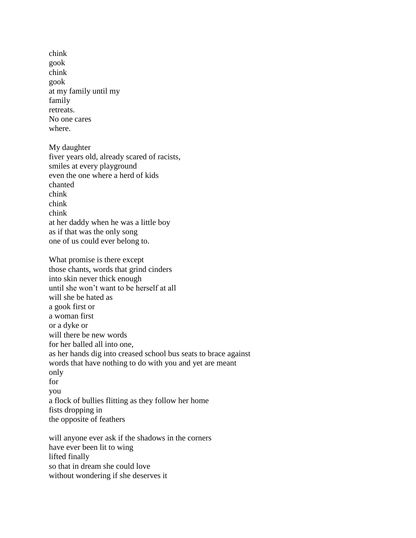chink gook chink gook at my family until my family retreats. No one cares where.

My daughter fiver years old, already scared of racists, smiles at every playground even the one where a herd of kids chanted chink chink chink at her daddy when he was a little boy as if that was the only song one of us could ever belong to.

What promise is there except those chants, words that grind cinders into skin never thick enough until she won't want to be herself at all will she be hated as a gook first or a woman first or a dyke or will there be new words for her balled all into one, as her hands dig into creased school bus seats to brace against words that have nothing to do with you and yet are meant only for you a flock of bullies flitting as they follow her home fists dropping in the opposite of feathers

will anyone ever ask if the shadows in the corners have ever been lit to wing lifted finally so that in dream she could love without wondering if she deserves it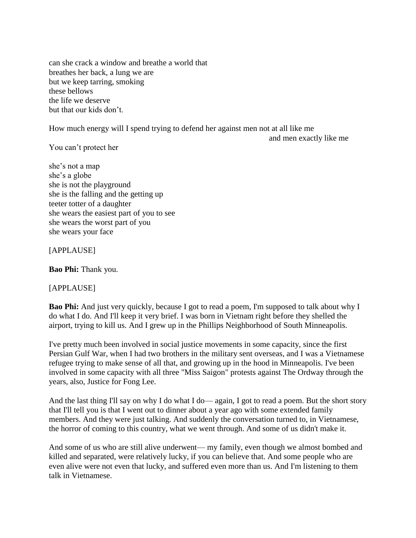can she crack a window and breathe a world that breathes her back, a lung we are but we keep tarring, smoking these bellows the life we deserve but that our kids don't.

How much energy will I spend trying to defend her against men not at all like me

and men exactly like me

You can't protect her

she's not a map she's a globe she is not the playground she is the falling and the getting up teeter totter of a daughter she wears the easiest part of you to see she wears the worst part of you she wears your face

[APPLAUSE]

**Bao Phi:** Thank you.

[APPLAUSE]

**Bao Phi:** And just very quickly, because I got to read a poem, I'm supposed to talk about why I do what I do. And I'll keep it very brief. I was born in Vietnam right before they shelled the airport, trying to kill us. And I grew up in the Phillips Neighborhood of South Minneapolis.

I've pretty much been involved in social justice movements in some capacity, since the first Persian Gulf War, when I had two brothers in the military sent overseas, and I was a Vietnamese refugee trying to make sense of all that, and growing up in the hood in Minneapolis. I've been involved in some capacity with all three "Miss Saigon" protests against The Ordway through the years, also, Justice for Fong Lee.

And the last thing I'll say on why I do what I do— again, I got to read a poem. But the short story that I'll tell you is that I went out to dinner about a year ago with some extended family members. And they were just talking. And suddenly the conversation turned to, in Vietnamese, the horror of coming to this country, what we went through. And some of us didn't make it.

And some of us who are still alive underwent— my family, even though we almost bombed and killed and separated, were relatively lucky, if you can believe that. And some people who are even alive were not even that lucky, and suffered even more than us. And I'm listening to them talk in Vietnamese.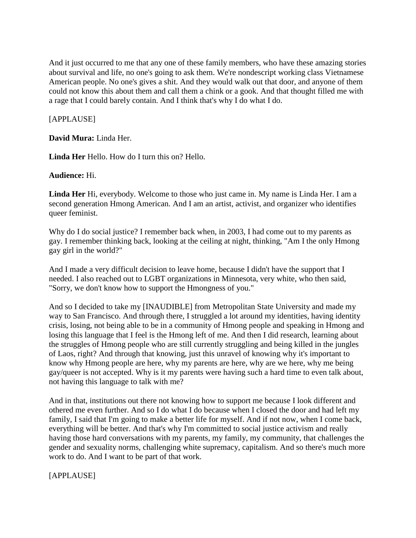And it just occurred to me that any one of these family members, who have these amazing stories about survival and life, no one's going to ask them. We're nondescript working class Vietnamese American people. No one's gives a shit. And they would walk out that door, and anyone of them could not know this about them and call them a chink or a gook. And that thought filled me with a rage that I could barely contain. And I think that's why I do what I do.

[APPLAUSE]

**David Mura:** Linda Her.

**Linda Her** Hello. How do I turn this on? Hello.

**Audience:** Hi.

**Linda Her** Hi, everybody. Welcome to those who just came in. My name is Linda Her. I am a second generation Hmong American. And I am an artist, activist, and organizer who identifies queer feminist.

Why do I do social justice? I remember back when, in 2003, I had come out to my parents as gay. I remember thinking back, looking at the ceiling at night, thinking, "Am I the only Hmong gay girl in the world?"

And I made a very difficult decision to leave home, because I didn't have the support that I needed. I also reached out to LGBT organizations in Minnesota, very white, who then said, "Sorry, we don't know how to support the Hmongness of you."

And so I decided to take my [INAUDIBLE] from Metropolitan State University and made my way to San Francisco. And through there, I struggled a lot around my identities, having identity crisis, losing, not being able to be in a community of Hmong people and speaking in Hmong and losing this language that I feel is the Hmong left of me. And then I did research, learning about the struggles of Hmong people who are still currently struggling and being killed in the jungles of Laos, right? And through that knowing, just this unravel of knowing why it's important to know why Hmong people are here, why my parents are here, why are we here, why me being gay/queer is not accepted. Why is it my parents were having such a hard time to even talk about, not having this language to talk with me?

And in that, institutions out there not knowing how to support me because I look different and othered me even further. And so I do what I do because when I closed the door and had left my family, I said that I'm going to make a better life for myself. And if not now, when I come back, everything will be better. And that's why I'm committed to social justice activism and really having those hard conversations with my parents, my family, my community, that challenges the gender and sexuality norms, challenging white supremacy, capitalism. And so there's much more work to do. And I want to be part of that work.

[APPLAUSE]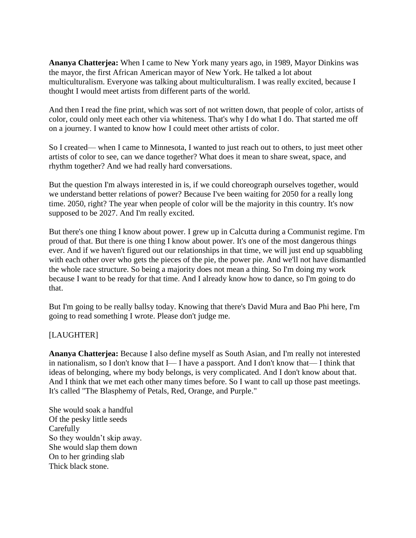**Ananya Chatterjea:** When I came to New York many years ago, in 1989, Mayor Dinkins was the mayor, the first African American mayor of New York. He talked a lot about multiculturalism. Everyone was talking about multiculturalism. I was really excited, because I thought I would meet artists from different parts of the world.

And then I read the fine print, which was sort of not written down, that people of color, artists of color, could only meet each other via whiteness. That's why I do what I do. That started me off on a journey. I wanted to know how I could meet other artists of color.

So I created— when I came to Minnesota, I wanted to just reach out to others, to just meet other artists of color to see, can we dance together? What does it mean to share sweat, space, and rhythm together? And we had really hard conversations.

But the question I'm always interested in is, if we could choreograph ourselves together, would we understand better relations of power? Because I've been waiting for 2050 for a really long time. 2050, right? The year when people of color will be the majority in this country. It's now supposed to be 2027. And I'm really excited.

But there's one thing I know about power. I grew up in Calcutta during a Communist regime. I'm proud of that. But there is one thing I know about power. It's one of the most dangerous things ever. And if we haven't figured out our relationships in that time, we will just end up squabbling with each other over who gets the pieces of the pie, the power pie. And we'll not have dismantled the whole race structure. So being a majority does not mean a thing. So I'm doing my work because I want to be ready for that time. And I already know how to dance, so I'm going to do that.

But I'm going to be really ballsy today. Knowing that there's David Mura and Bao Phi here, I'm going to read something I wrote. Please don't judge me.

[LAUGHTER]

**Ananya Chatterjea:** Because I also define myself as South Asian, and I'm really not interested in nationalism, so I don't know that I— I have a passport. And I don't know that— I think that ideas of belonging, where my body belongs, is very complicated. And I don't know about that. And I think that we met each other many times before. So I want to call up those past meetings. It's called "The Blasphemy of Petals, Red, Orange, and Purple."

She would soak a handful Of the pesky little seeds **Carefully** So they wouldn't skip away. She would slap them down On to her grinding slab Thick black stone.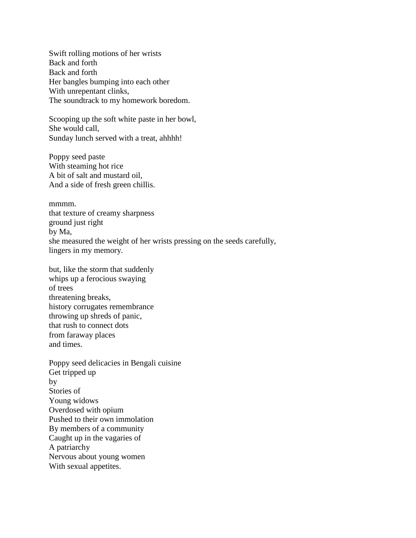Swift rolling motions of her wrists Back and forth Back and forth Her bangles bumping into each other With unrepentant clinks, The soundtrack to my homework boredom.

Scooping up the soft white paste in her bowl, She would call, Sunday lunch served with a treat, ahhhh!

Poppy seed paste With steaming hot rice A bit of salt and mustard oil, And a side of fresh green chillis.

mmmm. that texture of creamy sharpness ground just right by Ma, she measured the weight of her wrists pressing on the seeds carefully, lingers in my memory.

but, like the storm that suddenly whips up a ferocious swaying of trees threatening breaks, history corrugates remembrance throwing up shreds of panic, that rush to connect dots from faraway places and times.

Poppy seed delicacies in Bengali cuisine Get tripped up by Stories of Young widows Overdosed with opium Pushed to their own immolation By members of a community Caught up in the vagaries of A patriarchy Nervous about young women With sexual appetites.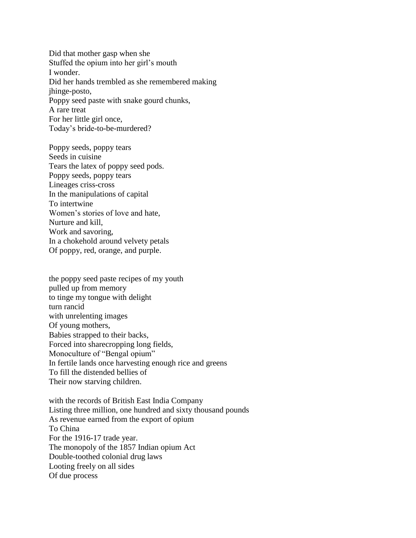Did that mother gasp when she Stuffed the opium into her girl's mouth I wonder. Did her hands trembled as she remembered making jhinge-posto, Poppy seed paste with snake gourd chunks, A rare treat For her little girl once, Today's bride-to-be-murdered?

Poppy seeds, poppy tears Seeds in cuisine Tears the latex of poppy seed pods. Poppy seeds, poppy tears Lineages criss-cross In the manipulations of capital To intertwine Women's stories of love and hate, Nurture and kill, Work and savoring, In a chokehold around velvety petals Of poppy, red, orange, and purple.

the poppy seed paste recipes of my youth pulled up from memory to tinge my tongue with delight turn rancid with unrelenting images Of young mothers, Babies strapped to their backs, Forced into sharecropping long fields, Monoculture of "Bengal opium" In fertile lands once harvesting enough rice and greens To fill the distended bellies of Their now starving children.

with the records of British East India Company Listing three million, one hundred and sixty thousand pounds As revenue earned from the export of opium To China For the 1916-17 trade year. The monopoly of the 1857 Indian opium Act Double-toothed colonial drug laws Looting freely on all sides Of due process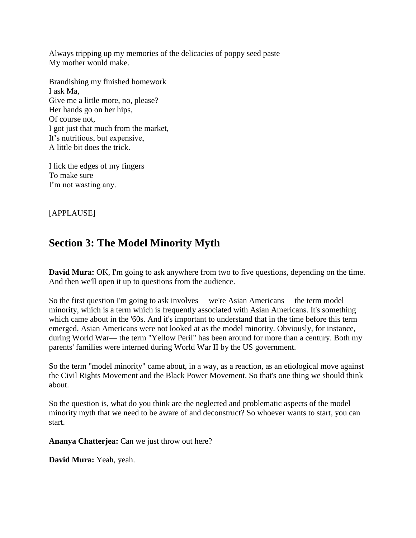Always tripping up my memories of the delicacies of poppy seed paste My mother would make.

Brandishing my finished homework I ask Ma, Give me a little more, no, please? Her hands go on her hips, Of course not, I got just that much from the market, It's nutritious, but expensive, A little bit does the trick.

I lick the edges of my fingers To make sure I'm not wasting any.

[APPLAUSE]

# **Section 3: The Model Minority Myth**

**David Mura:** OK, I'm going to ask anywhere from two to five questions, depending on the time. And then we'll open it up to questions from the audience.

So the first question I'm going to ask involves— we're Asian Americans— the term model minority, which is a term which is frequently associated with Asian Americans. It's something which came about in the '60s. And it's important to understand that in the time before this term emerged, Asian Americans were not looked at as the model minority. Obviously, for instance, during World War— the term "Yellow Peril" has been around for more than a century. Both my parents' families were interned during World War II by the US government.

So the term "model minority" came about, in a way, as a reaction, as an etiological move against the Civil Rights Movement and the Black Power Movement. So that's one thing we should think about.

So the question is, what do you think are the neglected and problematic aspects of the model minority myth that we need to be aware of and deconstruct? So whoever wants to start, you can start.

**Ananya Chatterjea:** Can we just throw out here?

**David Mura:** Yeah, yeah.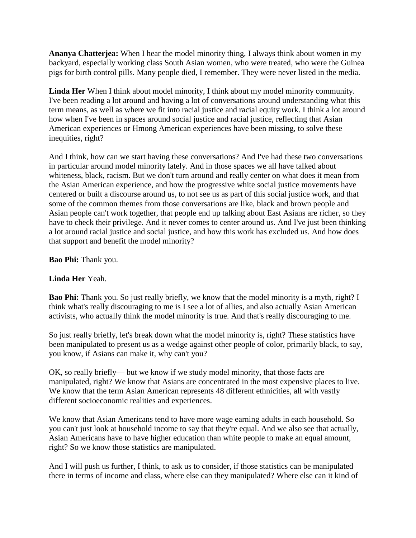**Ananya Chatterjea:** When I hear the model minority thing, I always think about women in my backyard, especially working class South Asian women, who were treated, who were the Guinea pigs for birth control pills. Many people died, I remember. They were never listed in the media.

**Linda Her** When I think about model minority, I think about my model minority community. I've been reading a lot around and having a lot of conversations around understanding what this term means, as well as where we fit into racial justice and racial equity work. I think a lot around how when I've been in spaces around social justice and racial justice, reflecting that Asian American experiences or Hmong American experiences have been missing, to solve these inequities, right?

And I think, how can we start having these conversations? And I've had these two conversations in particular around model minority lately. And in those spaces we all have talked about whiteness, black, racism. But we don't turn around and really center on what does it mean from the Asian American experience, and how the progressive white social justice movements have centered or built a discourse around us, to not see us as part of this social justice work, and that some of the common themes from those conversations are like, black and brown people and Asian people can't work together, that people end up talking about East Asians are richer, so they have to check their privilege. And it never comes to center around us. And I've just been thinking a lot around racial justice and social justice, and how this work has excluded us. And how does that support and benefit the model minority?

**Bao Phi:** Thank you.

### **Linda Her** Yeah.

**Bao Phi:** Thank you. So just really briefly, we know that the model minority is a myth, right? I think what's really discouraging to me is I see a lot of allies, and also actually Asian American activists, who actually think the model minority is true. And that's really discouraging to me.

So just really briefly, let's break down what the model minority is, right? These statistics have been manipulated to present us as a wedge against other people of color, primarily black, to say, you know, if Asians can make it, why can't you?

OK, so really briefly— but we know if we study model minority, that those facts are manipulated, right? We know that Asians are concentrated in the most expensive places to live. We know that the term Asian American represents 48 different ethnicities, all with vastly different socioeconomic realities and experiences.

We know that Asian Americans tend to have more wage earning adults in each household. So you can't just look at household income to say that they're equal. And we also see that actually, Asian Americans have to have higher education than white people to make an equal amount, right? So we know those statistics are manipulated.

And I will push us further, I think, to ask us to consider, if those statistics can be manipulated there in terms of income and class, where else can they manipulated? Where else can it kind of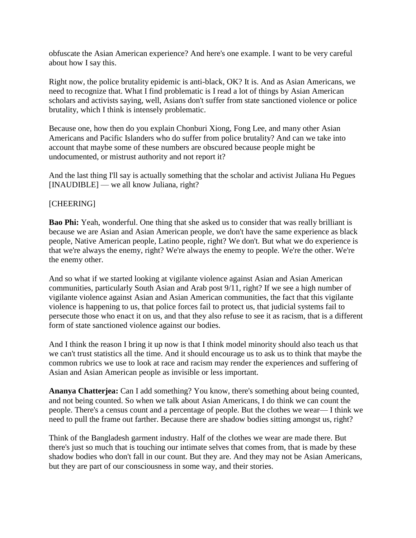obfuscate the Asian American experience? And here's one example. I want to be very careful about how I say this.

Right now, the police brutality epidemic is anti-black, OK? It is. And as Asian Americans, we need to recognize that. What I find problematic is I read a lot of things by Asian American scholars and activists saying, well, Asians don't suffer from state sanctioned violence or police brutality, which I think is intensely problematic.

Because one, how then do you explain Chonburi Xiong, Fong Lee, and many other Asian Americans and Pacific Islanders who do suffer from police brutality? And can we take into account that maybe some of these numbers are obscured because people might be undocumented, or mistrust authority and not report it?

And the last thing I'll say is actually something that the scholar and activist Juliana Hu Pegues [INAUDIBLE] — we all know Juliana, right?

### [CHEERING]

**Bao Phi:** Yeah, wonderful. One thing that she asked us to consider that was really brilliant is because we are Asian and Asian American people, we don't have the same experience as black people, Native American people, Latino people, right? We don't. But what we do experience is that we're always the enemy, right? We're always the enemy to people. We're the other. We're the enemy other.

And so what if we started looking at vigilante violence against Asian and Asian American communities, particularly South Asian and Arab post 9/11, right? If we see a high number of vigilante violence against Asian and Asian American communities, the fact that this vigilante violence is happening to us, that police forces fail to protect us, that judicial systems fail to persecute those who enact it on us, and that they also refuse to see it as racism, that is a different form of state sanctioned violence against our bodies.

And I think the reason I bring it up now is that I think model minority should also teach us that we can't trust statistics all the time. And it should encourage us to ask us to think that maybe the common rubrics we use to look at race and racism may render the experiences and suffering of Asian and Asian American people as invisible or less important.

**Ananya Chatterjea:** Can I add something? You know, there's something about being counted, and not being counted. So when we talk about Asian Americans, I do think we can count the people. There's a census count and a percentage of people. But the clothes we wear— I think we need to pull the frame out farther. Because there are shadow bodies sitting amongst us, right?

Think of the Bangladesh garment industry. Half of the clothes we wear are made there. But there's just so much that is touching our intimate selves that comes from, that is made by these shadow bodies who don't fall in our count. But they are. And they may not be Asian Americans, but they are part of our consciousness in some way, and their stories.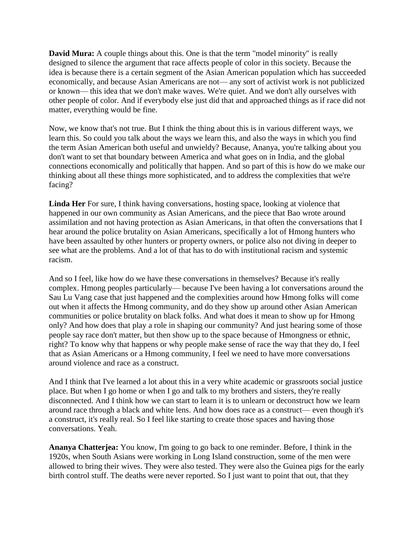**David Mura:** A couple things about this. One is that the term "model minority" is really designed to silence the argument that race affects people of color in this society. Because the idea is because there is a certain segment of the Asian American population which has succeeded economically, and because Asian Americans are not— any sort of activist work is not publicized or known— this idea that we don't make waves. We're quiet. And we don't ally ourselves with other people of color. And if everybody else just did that and approached things as if race did not matter, everything would be fine.

Now, we know that's not true. But I think the thing about this is in various different ways, we learn this. So could you talk about the ways we learn this, and also the ways in which you find the term Asian American both useful and unwieldy? Because, Ananya, you're talking about you don't want to set that boundary between America and what goes on in India, and the global connections economically and politically that happen. And so part of this is how do we make our thinking about all these things more sophisticated, and to address the complexities that we're facing?

**Linda Her** For sure, I think having conversations, hosting space, looking at violence that happened in our own community as Asian Americans, and the piece that Bao wrote around assimilation and not having protection as Asian Americans, in that often the conversations that I hear around the police brutality on Asian Americans, specifically a lot of Hmong hunters who have been assaulted by other hunters or property owners, or police also not diving in deeper to see what are the problems. And a lot of that has to do with institutional racism and systemic racism.

And so I feel, like how do we have these conversations in themselves? Because it's really complex. Hmong peoples particularly— because I've been having a lot conversations around the Sau Lu Vang case that just happened and the complexities around how Hmong folks will come out when it affects the Hmong community, and do they show up around other Asian American communities or police brutality on black folks. And what does it mean to show up for Hmong only? And how does that play a role in shaping our community? And just hearing some of those people say race don't matter, but then show up to the space because of Hmongness or ethnic, right? To know why that happens or why people make sense of race the way that they do, I feel that as Asian Americans or a Hmong community, I feel we need to have more conversations around violence and race as a construct.

And I think that I've learned a lot about this in a very white academic or grassroots social justice place. But when I go home or when I go and talk to my brothers and sisters, they're really disconnected. And I think how we can start to learn it is to unlearn or deconstruct how we learn around race through a black and white lens. And how does race as a construct— even though it's a construct, it's really real. So I feel like starting to create those spaces and having those conversations. Yeah.

**Ananya Chatterjea:** You know, I'm going to go back to one reminder. Before, I think in the 1920s, when South Asians were working in Long Island construction, some of the men were allowed to bring their wives. They were also tested. They were also the Guinea pigs for the early birth control stuff. The deaths were never reported. So I just want to point that out, that they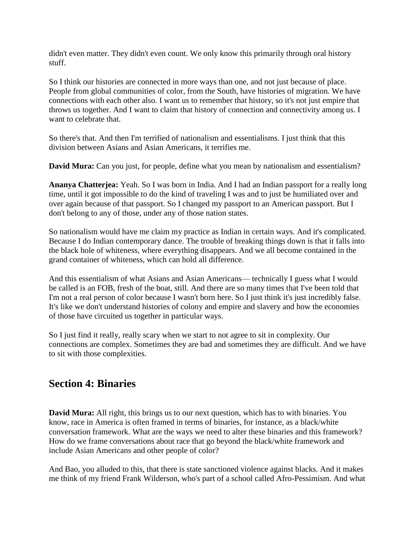didn't even matter. They didn't even count. We only know this primarily through oral history stuff.

So I think our histories are connected in more ways than one, and not just because of place. People from global communities of color, from the South, have histories of migration. We have connections with each other also. I want us to remember that history, so it's not just empire that throws us together. And I want to claim that history of connection and connectivity among us. I want to celebrate that.

So there's that. And then I'm terrified of nationalism and essentialisms. I just think that this division between Asians and Asian Americans, it terrifies me.

**David Mura:** Can you just, for people, define what you mean by nationalism and essentialism?

**Ananya Chatterjea:** Yeah. So I was born in India. And I had an Indian passport for a really long time, until it got impossible to do the kind of traveling I was and to just be humiliated over and over again because of that passport. So I changed my passport to an American passport. But I don't belong to any of those, under any of those nation states.

So nationalism would have me claim my practice as Indian in certain ways. And it's complicated. Because I do Indian contemporary dance. The trouble of breaking things down is that it falls into the black hole of whiteness, where everything disappears. And we all become contained in the grand container of whiteness, which can hold all difference.

And this essentialism of what Asians and Asian Americans— technically I guess what I would be called is an FOB, fresh of the boat, still. And there are so many times that I've been told that I'm not a real person of color because I wasn't born here. So I just think it's just incredibly false. It's like we don't understand histories of colony and empire and slavery and how the economies of those have circuited us together in particular ways.

So I just find it really, really scary when we start to not agree to sit in complexity. Our connections are complex. Sometimes they are bad and sometimes they are difficult. And we have to sit with those complexities.

# **Section 4: Binaries**

**David Mura:** All right, this brings us to our next question, which has to with binaries. You know, race in America is often framed in terms of binaries, for instance, as a black/white conversation framework. What are the ways we need to alter these binaries and this framework? How do we frame conversations about race that go beyond the black/white framework and include Asian Americans and other people of color?

And Bao, you alluded to this, that there is state sanctioned violence against blacks. And it makes me think of my friend Frank Wilderson, who's part of a school called Afro-Pessimism. And what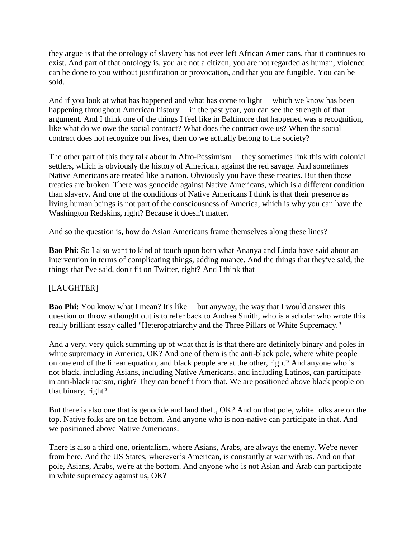they argue is that the ontology of slavery has not ever left African Americans, that it continues to exist. And part of that ontology is, you are not a citizen, you are not regarded as human, violence can be done to you without justification or provocation, and that you are fungible. You can be sold.

And if you look at what has happened and what has come to light— which we know has been happening throughout American history— in the past year, you can see the strength of that argument. And I think one of the things I feel like in Baltimore that happened was a recognition, like what do we owe the social contract? What does the contract owe us? When the social contract does not recognize our lives, then do we actually belong to the society?

The other part of this they talk about in Afro-Pessimism— they sometimes link this with colonial settlers, which is obviously the history of American, against the red savage. And sometimes Native Americans are treated like a nation. Obviously you have these treaties. But then those treaties are broken. There was genocide against Native Americans, which is a different condition than slavery. And one of the conditions of Native Americans I think is that their presence as living human beings is not part of the consciousness of America, which is why you can have the Washington Redskins, right? Because it doesn't matter.

And so the question is, how do Asian Americans frame themselves along these lines?

**Bao Phi:** So I also want to kind of touch upon both what Ananya and Linda have said about an intervention in terms of complicating things, adding nuance. And the things that they've said, the things that I've said, don't fit on Twitter, right? And I think that—

## [LAUGHTER]

**Bao Phi:** You know what I mean? It's like— but anyway, the way that I would answer this question or throw a thought out is to refer back to Andrea Smith, who is a scholar who wrote this really brilliant essay called "Heteropatriarchy and the Three Pillars of White Supremacy."

And a very, very quick summing up of what that is is that there are definitely binary and poles in white supremacy in America,  $\overrightarrow{OK}$ ? And one of them is the anti-black pole, where white people on one end of the linear equation, and black people are at the other, right? And anyone who is not black, including Asians, including Native Americans, and including Latinos, can participate in anti-black racism, right? They can benefit from that. We are positioned above black people on that binary, right?

But there is also one that is genocide and land theft, OK? And on that pole, white folks are on the top. Native folks are on the bottom. And anyone who is non-native can participate in that. And we positioned above Native Americans.

There is also a third one, orientalism, where Asians, Arabs, are always the enemy. We're never from here. And the US States, wherever's American, is constantly at war with us. And on that pole, Asians, Arabs, we're at the bottom. And anyone who is not Asian and Arab can participate in white supremacy against us, OK?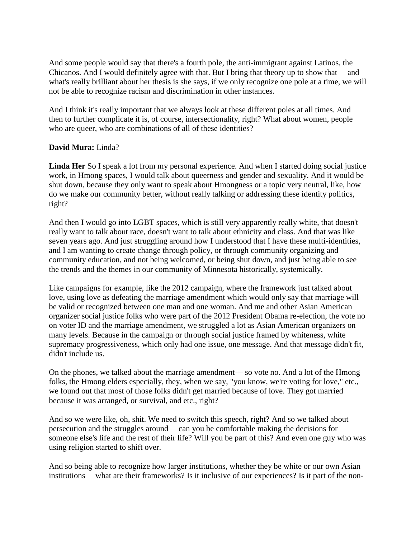And some people would say that there's a fourth pole, the anti-immigrant against Latinos, the Chicanos. And I would definitely agree with that. But I bring that theory up to show that— and what's really brilliant about her thesis is she says, if we only recognize one pole at a time, we will not be able to recognize racism and discrimination in other instances.

And I think it's really important that we always look at these different poles at all times. And then to further complicate it is, of course, intersectionality, right? What about women, people who are queer, who are combinations of all of these identities?

### **David Mura:** Linda?

**Linda Her** So I speak a lot from my personal experience. And when I started doing social justice work, in Hmong spaces, I would talk about queerness and gender and sexuality. And it would be shut down, because they only want to speak about Hmongness or a topic very neutral, like, how do we make our community better, without really talking or addressing these identity politics, right?

And then I would go into LGBT spaces, which is still very apparently really white, that doesn't really want to talk about race, doesn't want to talk about ethnicity and class. And that was like seven years ago. And just struggling around how I understood that I have these multi-identities, and I am wanting to create change through policy, or through community organizing and community education, and not being welcomed, or being shut down, and just being able to see the trends and the themes in our community of Minnesota historically, systemically.

Like campaigns for example, like the 2012 campaign, where the framework just talked about love, using love as defeating the marriage amendment which would only say that marriage will be valid or recognized between one man and one woman. And me and other Asian American organizer social justice folks who were part of the 2012 President Obama re-election, the vote no on voter ID and the marriage amendment, we struggled a lot as Asian American organizers on many levels. Because in the campaign or through social justice framed by whiteness, white supremacy progressiveness, which only had one issue, one message. And that message didn't fit, didn't include us.

On the phones, we talked about the marriage amendment— so vote no. And a lot of the Hmong folks, the Hmong elders especially, they, when we say, "you know, we're voting for love," etc., we found out that most of those folks didn't get married because of love. They got married because it was arranged, or survival, and etc., right?

And so we were like, oh, shit. We need to switch this speech, right? And so we talked about persecution and the struggles around— can you be comfortable making the decisions for someone else's life and the rest of their life? Will you be part of this? And even one guy who was using religion started to shift over.

And so being able to recognize how larger institutions, whether they be white or our own Asian institutions— what are their frameworks? Is it inclusive of our experiences? Is it part of the non-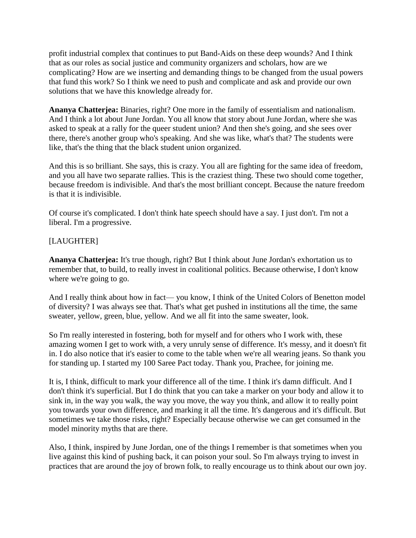profit industrial complex that continues to put Band-Aids on these deep wounds? And I think that as our roles as social justice and community organizers and scholars, how are we complicating? How are we inserting and demanding things to be changed from the usual powers that fund this work? So I think we need to push and complicate and ask and provide our own solutions that we have this knowledge already for.

**Ananya Chatterjea:** Binaries, right? One more in the family of essentialism and nationalism. And I think a lot about June Jordan. You all know that story about June Jordan, where she was asked to speak at a rally for the queer student union? And then she's going, and she sees over there, there's another group who's speaking. And she was like, what's that? The students were like, that's the thing that the black student union organized.

And this is so brilliant. She says, this is crazy. You all are fighting for the same idea of freedom, and you all have two separate rallies. This is the craziest thing. These two should come together, because freedom is indivisible. And that's the most brilliant concept. Because the nature freedom is that it is indivisible.

Of course it's complicated. I don't think hate speech should have a say. I just don't. I'm not a liberal. I'm a progressive.

## [LAUGHTER]

**Ananya Chatterjea:** It's true though, right? But I think about June Jordan's exhortation us to remember that, to build, to really invest in coalitional politics. Because otherwise, I don't know where we're going to go.

And I really think about how in fact— you know, I think of the United Colors of Benetton model of diversity? I was always see that. That's what get pushed in institutions all the time, the same sweater, yellow, green, blue, yellow. And we all fit into the same sweater, look.

So I'm really interested in fostering, both for myself and for others who I work with, these amazing women I get to work with, a very unruly sense of difference. It's messy, and it doesn't fit in. I do also notice that it's easier to come to the table when we're all wearing jeans. So thank you for standing up. I started my 100 Saree Pact today. Thank you, Prachee, for joining me.

It is, I think, difficult to mark your difference all of the time. I think it's damn difficult. And I don't think it's superficial. But I do think that you can take a marker on your body and allow it to sink in, in the way you walk, the way you move, the way you think, and allow it to really point you towards your own difference, and marking it all the time. It's dangerous and it's difficult. But sometimes we take those risks, right? Especially because otherwise we can get consumed in the model minority myths that are there.

Also, I think, inspired by June Jordan, one of the things I remember is that sometimes when you live against this kind of pushing back, it can poison your soul. So I'm always trying to invest in practices that are around the joy of brown folk, to really encourage us to think about our own joy.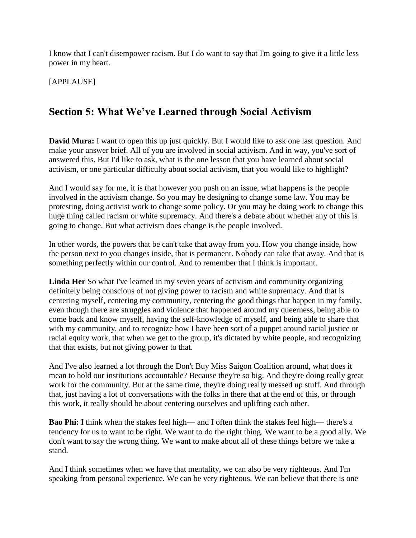I know that I can't disempower racism. But I do want to say that I'm going to give it a little less power in my heart.

[APPLAUSE]

# **Section 5: What We've Learned through Social Activism**

**David Mura:** I want to open this up just quickly. But I would like to ask one last question. And make your answer brief. All of you are involved in social activism. And in way, you've sort of answered this. But I'd like to ask, what is the one lesson that you have learned about social activism, or one particular difficulty about social activism, that you would like to highlight?

And I would say for me, it is that however you push on an issue, what happens is the people involved in the activism change. So you may be designing to change some law. You may be protesting, doing activist work to change some policy. Or you may be doing work to change this huge thing called racism or white supremacy. And there's a debate about whether any of this is going to change. But what activism does change is the people involved.

In other words, the powers that be can't take that away from you. How you change inside, how the person next to you changes inside, that is permanent. Nobody can take that away. And that is something perfectly within our control. And to remember that I think is important.

**Linda Her** So what I've learned in my seven years of activism and community organizing definitely being conscious of not giving power to racism and white supremacy. And that is centering myself, centering my community, centering the good things that happen in my family, even though there are struggles and violence that happened around my queerness, being able to come back and know myself, having the self-knowledge of myself, and being able to share that with my community, and to recognize how I have been sort of a puppet around racial justice or racial equity work, that when we get to the group, it's dictated by white people, and recognizing that that exists, but not giving power to that.

And I've also learned a lot through the Don't Buy Miss Saigon Coalition around, what does it mean to hold our institutions accountable? Because they're so big. And they're doing really great work for the community. But at the same time, they're doing really messed up stuff. And through that, just having a lot of conversations with the folks in there that at the end of this, or through this work, it really should be about centering ourselves and uplifting each other.

**Bao Phi:** I think when the stakes feel high— and I often think the stakes feel high— there's a tendency for us to want to be right. We want to do the right thing. We want to be a good ally. We don't want to say the wrong thing. We want to make about all of these things before we take a stand.

And I think sometimes when we have that mentality, we can also be very righteous. And I'm speaking from personal experience. We can be very righteous. We can believe that there is one